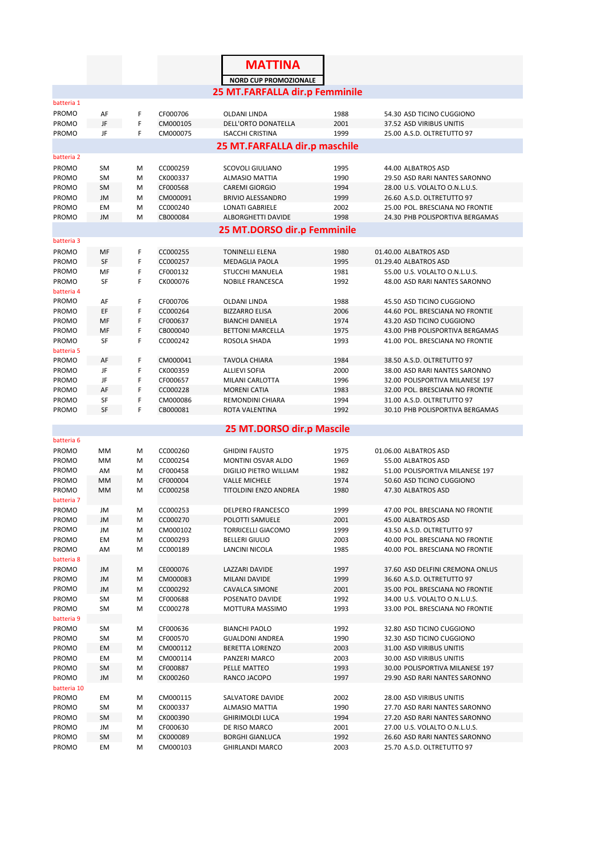|                     |                 |        |                      | <b>MATTINA</b>                                    |              |                                                                |
|---------------------|-----------------|--------|----------------------|---------------------------------------------------|--------------|----------------------------------------------------------------|
|                     |                 |        |                      | <b>NORD CUP PROMOZIONALE</b>                      |              |                                                                |
|                     |                 |        |                      | 25 MT.FARFALLA dir.p Femminile                    |              |                                                                |
| batteria 1          |                 |        |                      |                                                   |              |                                                                |
| PROMO               | AF              | F      | CF000706             | OLDANI LINDA                                      | 1988         | 54.30 ASD TICINO CUGGIONO                                      |
| PROMO               | JF              | F      | CM000105             | DELL'ORTO DONATELLA                               | 2001         | 37.52 ASD VIRIBUS UNITIS                                       |
| PROMO               | JF              | F      | CM000075             | <b>ISACCHI CRISTINA</b>                           | 1999         | 25.00 A.S.D. OLTRETUTTO 97                                     |
|                     |                 |        |                      | 25 MT.FARFALLA dir.p maschile                     |              |                                                                |
| batteria 2          |                 |        |                      |                                                   |              |                                                                |
| PROMO<br>PROMO      | SM<br><b>SM</b> | M<br>M | CC000259<br>CK000337 | <b>SCOVOLI GIULIANO</b><br><b>ALMASIO MATTIA</b>  | 1995<br>1990 | 44.00 ALBATROS ASD<br>29.50 ASD RARI NANTES SARONNO            |
| PROMO               | <b>SM</b>       | M      | CF000568             | <b>CAREMI GIORGIO</b>                             | 1994         | 28.00 U.S. VOLALTO O.N.L.U.S.                                  |
| PROMO               | JM              | M      | CM000091             | <b>BRIVIO ALESSANDRO</b>                          | 1999         | 26.60 A.S.D. OLTRETUTTO 97                                     |
| PROMO               | EM              | M      | CC000240             | <b>LONATI GABRIELE</b>                            | 2002         | 25.00 POL. BRESCIANA NO FRONTIE                                |
| PROMO               | JM              | M      | CB000084             | ALBORGHETTI DAVIDE                                | 1998         | 24.30 PHB POLISPORTIVA BERGAMAS                                |
|                     |                 |        |                      | 25 MT.DORSO dir.p Femminile                       |              |                                                                |
| batteria 3          |                 |        |                      |                                                   |              |                                                                |
| PROMO               | MF              | F      | CC000255             | <b>TONINELLI ELENA</b>                            | 1980         | 01.40.00 ALBATROS ASD                                          |
| PROMO               | SF              | F      | CC000257             | <b>MEDAGLIA PAOLA</b>                             | 1995         | 01.29.40 ALBATROS ASD                                          |
| PROMO<br>PROMO      | MF<br>SF        | F<br>F | CF000132<br>CK000076 | <b>STUCCHI MANUELA</b><br><b>NOBILE FRANCESCA</b> | 1981<br>1992 | 55.00 U.S. VOLALTO O.N.L.U.S.<br>48.00 ASD RARI NANTES SARONNO |
| batteria 4          |                 |        |                      |                                                   |              |                                                                |
| PROMO               | AF              | F      | CF000706             | <b>OLDANI LINDA</b>                               | 1988         | 45.50 ASD TICINO CUGGIONO                                      |
| PROMO               | EF              | F      | CC000264             | <b>BIZZARRO ELISA</b>                             | 2006         | 44.60 POL. BRESCIANA NO FRONTIE                                |
| PROMO               | MF              | F      | CF000637             | <b>BIANCHI DANIELA</b>                            | 1974         | 43.20 ASD TICINO CUGGIONO                                      |
| PROMO               | MF              | F      | CB000040             | <b>BETTONI MARCELLA</b>                           | 1975         | 43.00 PHB POLISPORTIVA BERGAMAS                                |
| PROMO               | SF              | F      | CC000242             | ROSOLA SHADA                                      | 1993         | 41.00 POL. BRESCIANA NO FRONTIE                                |
| batteria 5<br>PROMO | AF              | F      | CM000041             | <b>TAVOLA CHIARA</b>                              | 1984         | 38.50 A.S.D. OLTRETUTTO 97                                     |
| PROMO               | JF              | F      | CK000359             | <b>ALLIEVI SOFIA</b>                              | 2000         | 38.00 ASD RARI NANTES SARONNO                                  |
| PROMO               | JF              | F      | CF000657             | MILANI CARLOTTA                                   | 1996         | 32.00 POLISPORTIVA MILANESE 197                                |
| PROMO               | AF              | F      | CC000228             | <b>MORENI CATIA</b>                               | 1983         | 32.00 POL. BRESCIANA NO FRONTIE                                |
| PROMO               | SF              | F      | CM000086             | REMONDINI CHIARA                                  | 1994         | 31.00 A.S.D. OLTRETUTTO 97                                     |
| PROMO               | SF              | F      | CB000081             | ROTA VALENTINA                                    | 1992         | 30.10 PHB POLISPORTIVA BERGAMAS                                |
|                     |                 |        |                      | 25 MT.DORSO dir.p Mascile                         |              |                                                                |
| batteria 6          |                 |        |                      |                                                   |              |                                                                |
| PROMO               | MM              | M      | CC000260             | <b>GHIDINI FAUSTO</b>                             | 1975         | 01.06.00 ALBATROS ASD                                          |
| PROMO               | МM              | M      | CC000254             | MONTINI OSVAR ALDO                                | 1969         | 55.00 ALBATROS ASD                                             |
| PROMO               | AM              | M      | CF000458             | DIGILIO PIETRO WILLIAM                            | 1982         | 51.00 POLISPORTIVA MILANESE 197                                |
| PROMO               | MM              | M      | CF000004             | <b>VALLE MICHELE</b>                              | 1974         | 50.60 ASD TICINO CUGGIONO                                      |
| PROMO<br>batteria 7 | MM              | M      | CC000258             | <b>TITOLDINI ENZO ANDREA</b>                      | 1980         | 47.30 ALBATROS ASD                                             |
| PROMO               | JM              | М      | CC000253             | DELPERO FRANCESCO                                 | 1999         | 47.00 POL. BRESCIANA NO FRONTIE                                |
| PROMO               | JM              | Μ      | CC000270             | POLOTTI SAMUELE                                   | 2001         | 45.00 ALBATROS ASD                                             |
| PROMO               | JM              | Μ      | CM000102             | <b>TORRICELLI GIACOMO</b>                         | 1999         | 43.50 A.S.D. OLTRETUTTO 97                                     |
| PROMO               | EM              | М      | CC000293             | <b>BELLERI GIULIO</b>                             | 2003         | 40.00 POL. BRESCIANA NO FRONTIE                                |
| PROMO               | AM              | М      | CC000189             | LANCINI NICOLA                                    | 1985         | 40.00 POL. BRESCIANA NO FRONTIE                                |
| batteria 8<br>PROMO |                 |        |                      |                                                   |              |                                                                |
| PROMO               | JM<br>JM        | Μ<br>Μ | CE000076<br>CM000083 | LAZZARI DAVIDE<br>MILANI DAVIDE                   | 1997<br>1999 | 37.60 ASD DELFINI CREMONA ONLUS<br>36.60 A.S.D. OLTRETUTTO 97  |
| PROMO               | JM              | Μ      | CC000292             | <b>CAVALCA SIMONE</b>                             | 2001         | 35.00 POL. BRESCIANA NO FRONTIE                                |
| PROMO               | SM              | М      | CF000688             | POSENATO DAVIDE                                   | 1992         | 34.00 U.S. VOLALTO O.N.L.U.S.                                  |
| PROMO               | SM              | Μ      | CC000278             | MOTTURA MASSIMO                                   | 1993         | 33.00 POL. BRESCIANA NO FRONTIE                                |
| batteria 9          |                 |        |                      |                                                   |              |                                                                |
| PROMO               | SM              | M      | CF000636             | <b>BIANCHI PAOLO</b>                              | 1992         | 32.80 ASD TICINO CUGGIONO                                      |
| PROMO               | SM              | Μ      | CF000570             | <b>GUALDONI ANDREA</b>                            | 1990         | 32.30 ASD TICINO CUGGIONO                                      |
| PROMO<br>PROMO      | EM<br>EM        | М<br>Μ | CM000112<br>CM000114 | BERETTA LORENZO<br>PANZERI MARCO                  | 2003<br>2003 | 31.00 ASD VIRIBUS UNITIS<br>30.00 ASD VIRIBUS UNITIS           |
| PROMO               | SM              | М      | CF000887             | PELLE MATTEO                                      | 1993         | 30.00 POLISPORTIVA MILANESE 197                                |
| PROMO               | JM              | M      | CK000260             | RANCO JACOPO                                      | 1997         | 29.90 ASD RARI NANTES SARONNO                                  |
| batteria 10         |                 |        |                      |                                                   |              |                                                                |
| PROMO               | EM              | М      | CM000115             | SALVATORE DAVIDE                                  | 2002         | 28.00 ASD VIRIBUS UNITIS                                       |
| PROMO               | SM              | М      | CK000337             | <b>ALMASIO MATTIA</b>                             | 1990         | 27.70 ASD RARI NANTES SARONNO                                  |
| PROMO               | SM              | Μ      | CK000390             | <b>GHIRIMOLDI LUCA</b>                            | 1994         | 27.20 ASD RARI NANTES SARONNO                                  |
| PROMO<br>PROMO      | JM<br>SM        | М<br>М | CF000630<br>CK000089 | DE RISO MARCO<br><b>BORGHI GIANLUCA</b>           | 2001<br>1992 | 27.00 U.S. VOLALTO O.N.L.U.S.<br>26.60 ASD RARI NANTES SARONNO |
| PROMO               | EM              | М      | CM000103             | <b>GHIRLANDI MARCO</b>                            | 2003         | 25.70 A.S.D. OLTRETUTTO 97                                     |
|                     |                 |        |                      |                                                   |              |                                                                |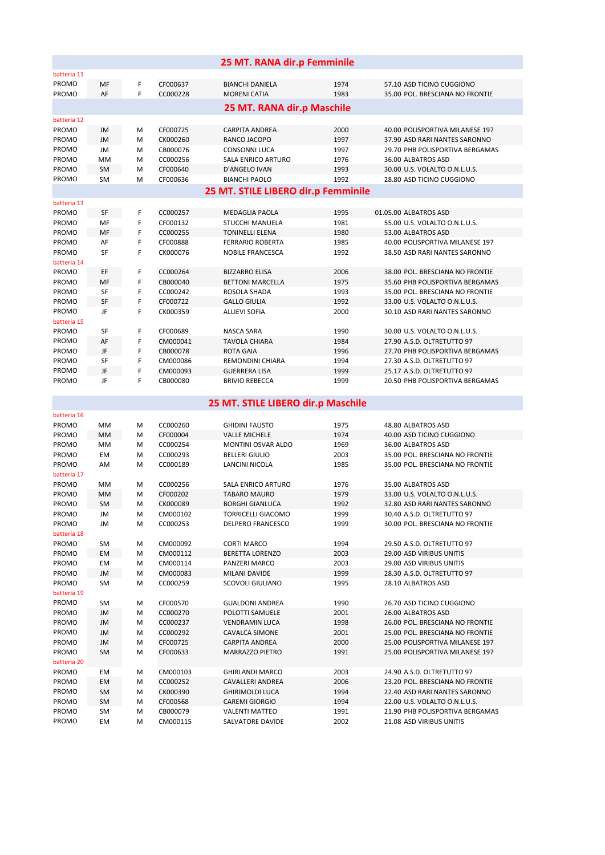|                                     |           |        |                      | 25 MT. RANA dir.p Femminile               |              |                                                             |  |  |  |
|-------------------------------------|-----------|--------|----------------------|-------------------------------------------|--------------|-------------------------------------------------------------|--|--|--|
| batteria 11                         |           |        |                      |                                           |              |                                                             |  |  |  |
| PROMO                               | MF        | F      | CF000637             | <b>BIANCHI DANIELA</b>                    | 1974         | 57.10 ASD TICINO CUGGIONO                                   |  |  |  |
| <b>PROMO</b>                        | AF        | F      | CC000228             | <b>MORENI CATIA</b>                       | 1983         | 35.00 POL. BRESCIANA NO FRONTIE                             |  |  |  |
|                                     |           |        |                      | 25 MT. RANA dir.p Maschile                |              |                                                             |  |  |  |
| batteria 12                         |           |        |                      |                                           |              |                                                             |  |  |  |
| PROMO                               | JM        | M      | CF000725             | <b>CARPITA ANDREA</b>                     | 2000         | 40.00 POLISPORTIVA MILANESE 197                             |  |  |  |
| PROMO                               | JM        | M      | CK000260             | RANCO JACOPO                              | 1997         | 37.90 ASD RARI NANTES SARONNO                               |  |  |  |
| PROMO                               | JM        | M      | CB000076             | <b>CONSONNI LUCA</b>                      | 1997         | 29.70 PHB POLISPORTIVA BERGAMAS                             |  |  |  |
| PROMO<br>PROMO                      | MM<br>SM  | M      | CC000256<br>CF000640 | SALA ENRICO ARTURO<br>D'ANGELO IVAN       | 1976<br>1993 | 36.00 ALBATROS ASD<br>30.00 U.S. VOLALTO O.N.L.U.S.         |  |  |  |
| PROMO                               | <b>SM</b> | M<br>M | CF000636             | <b>BIANCHI PAOLO</b>                      | 1992         | 28.80 ASD TICINO CUGGIONO                                   |  |  |  |
| 25 MT. STILE LIBERO dir.p Femminile |           |        |                      |                                           |              |                                                             |  |  |  |
| batteria 13                         |           |        |                      |                                           |              |                                                             |  |  |  |
| PROMO                               | SF        | F      | CC000257             | <b>MEDAGLIA PAOLA</b>                     | 1995         | 01.05.00 ALBATROS ASD                                       |  |  |  |
| PROMO                               | MF        | F      | CF000132             | <b>STUCCHI MANUELA</b>                    | 1981         | 55.00 U.S. VOLALTO O.N.L.U.S.                               |  |  |  |
| PROMO                               | MF        | F      | CC000255             | <b>TONINELLI ELENA</b>                    | 1980         | 53.00 ALBATROS ASD                                          |  |  |  |
| PROMO                               | AF        | F      | CF000888             | <b>FERRARIO ROBERTA</b>                   | 1985         | 40.00 POLISPORTIVA MILANESE 197                             |  |  |  |
| PROMO<br>batteria 14                | SF        | F      | CK000076             | <b>NOBILE FRANCESCA</b>                   | 1992         | 38.50 ASD RARI NANTES SARONNO                               |  |  |  |
| PROMO                               | EF        | F      | CC000264             | <b>BIZZARRO ELISA</b>                     | 2006         | 38.00 POL. BRESCIANA NO FRONTIE                             |  |  |  |
| PROMO                               | MF        | F      | CB000040             | <b>BETTONI MARCELLA</b>                   | 1975         | 35.60 PHB POLISPORTIVA BERGAMAS                             |  |  |  |
| PROMO                               | SF        | F      | CC000242             | ROSOLA SHADA                              | 1993         | 35.00 POL. BRESCIANA NO FRONTIE                             |  |  |  |
| PROMO                               | SF        | F      | CF000722             | <b>GALLO GIULIA</b>                       | 1992         | 33.00 U.S. VOLALTO O.N.L.U.S.                               |  |  |  |
| PROMO                               | JF        | F      | CK000359             | <b>ALLIEVI SOFIA</b>                      | 2000         | 30.10 ASD RARI NANTES SARONNO                               |  |  |  |
| batteria 15                         |           |        |                      |                                           |              |                                                             |  |  |  |
| PROMO<br>PROMO                      | SF<br>AF  | F<br>F | CF000689             | NASCA SARA                                | 1990<br>1984 | 30.00 U.S. VOLALTO O.N.L.U.S.<br>27.90 A.S.D. OLTRETUTTO 97 |  |  |  |
| PROMO                               | JF        | F      | CM000041<br>CB000078 | <b>TAVOLA CHIARA</b><br><b>ROTA GAIA</b>  | 1996         | 27.70 PHB POLISPORTIVA BERGAMAS                             |  |  |  |
| PROMO                               | SF        | F      | CM000086             | REMONDINI CHIARA                          | 1994         | 27.30 A.S.D. OLTRETUTTO 97                                  |  |  |  |
| PROMO                               | JF        | F      | CM000093             | <b>GUERRERA LISA</b>                      | 1999         | 25.17 A.S.D. OLTRETUTTO 97                                  |  |  |  |
| PROMO                               | JF        | F      | CB000080             | <b>BRIVIO REBECCA</b>                     | 1999         | 20.50 PHB POLISPORTIVA BERGAMAS                             |  |  |  |
|                                     |           |        |                      |                                           |              |                                                             |  |  |  |
| batteria 16                         |           |        |                      | 25 MT. STILE LIBERO dir.p Maschile        |              |                                                             |  |  |  |
| PROMO                               | MM        | M      | CC000260             | <b>GHIDINI FAUSTO</b>                     | 1975         | 48.80 ALBATROS ASD                                          |  |  |  |
| PROMO                               | MM        | M      | CF000004             | <b>VALLE MICHELE</b>                      | 1974         | 40.00 ASD TICINO CUGGIONO                                   |  |  |  |
| PROMO                               | MM        | M      | CC000254             | <b>MONTINI OSVAR ALDO</b>                 | 1969         | 36.00 ALBATROS ASD                                          |  |  |  |
| PROMO                               | EM        | M      | CC000293             | <b>BELLERI GIULIO</b>                     | 2003         | 35.00 POL. BRESCIANA NO FRONTIE                             |  |  |  |
| PROMO                               | AM        | M      | CC000189             | LANCINI NICOLA                            | 1985         | 35.00 POL. BRESCIANA NO FRONTIE                             |  |  |  |
| batteria 17                         |           |        |                      |                                           |              |                                                             |  |  |  |
| PROMO<br>PROMO                      | MM<br>MM  | M<br>M | CC000256<br>CF000202 | SALA ENRICO ARTURO<br><b>TABARO MAURO</b> | 1976<br>1979 | 35.00 ALBATROS ASD<br>33.00 U.S. VOLALTO O.N.L.U.S.         |  |  |  |
| PROMO                               | SM        | M      | CK000089             | <b>BORGHI GIANLUCA</b>                    | 1992         | 32.80 ASD RARI NANTES SARONNO                               |  |  |  |
| PROMO                               | JM        | M      | CM000102             | <b>TORRICELLI GIACOMO</b>                 | 1999         | 30.40 A.S.D. OLTRETUTTO 97                                  |  |  |  |
| PROMO                               | JM        | M      | CC000253             | DELPERO FRANCESCO                         | 1999         | 30.00 POL. BRESCIANA NO FRONTIE                             |  |  |  |
| batteria 18                         |           |        |                      |                                           |              |                                                             |  |  |  |
| PROMO                               | SM        | M      | CM000092             | <b>CORTI MARCO</b>                        | 1994         | 29.50 A.S.D. OLTRETUTTO 97                                  |  |  |  |
| PROMO                               | EM        | M      | CM000112             | <b>BERETTA LORENZO</b>                    | 2003         | 29.00 ASD VIRIBUS UNITIS                                    |  |  |  |
| PROMO<br>PROMO                      | EM        | M      | CM000114<br>CM000083 | PANZERI MARCO                             | 2003<br>1999 | 29.00 ASD VIRIBUS UNITIS<br>28.30 A.S.D. OLTRETUTTO 97      |  |  |  |
| PROMO                               | JM<br>SM  | М<br>М | CC000259             | MILANI DAVIDE<br>SCOVOLI GIULIANO         | 1995         | 28.10 ALBATROS ASD                                          |  |  |  |
| batteria 19                         |           |        |                      |                                           |              |                                                             |  |  |  |
| PROMO                               | SM        | M      | CF000570             | <b>GUALDONI ANDREA</b>                    | 1990         | 26.70 ASD TICINO CUGGIONO                                   |  |  |  |
| PROMO                               | JM        | M      | CC000270             | POLOTTI SAMUELE                           | 2001         | 26.00 ALBATROS ASD                                          |  |  |  |
| PROMO                               | JM        | M      | CC000237             | <b>VENDRAMIN LUCA</b>                     | 1998         | 26.00 POL. BRESCIANA NO FRONTIE                             |  |  |  |
| PROMO                               | JM        | M      | CC000292             | <b>CAVALCA SIMONE</b>                     | 2001         | 25.00 POL. BRESCIANA NO FRONTIE                             |  |  |  |
| PROMO                               | JM        | M      | CF000725             | <b>CARPITA ANDREA</b>                     | 2000         | 25.00 POLISPORTIVA MILANESE 197                             |  |  |  |
| PROMO<br>batteria 20                | SM        | M      | CF000633             | MARRAZZO PIETRO                           | 1991         | 25.00 POLISPORTIVA MILANESE 197                             |  |  |  |
| PROMO                               | EM        | M      | CM000103             | <b>GHIRLANDI MARCO</b>                    | 2003         | 24.90 A.S.D. OLTRETUTTO 97                                  |  |  |  |
| PROMO                               | EМ        | M      | CC000252             | CAVALLERI ANDREA                          | 2006         | 23.20 POL. BRESCIANA NO FRONTIE                             |  |  |  |
| PROMO                               | SM        | M      | CK000390             | <b>GHIRIMOLDI LUCA</b>                    | 1994         | 22.40 ASD RARI NANTES SARONNO                               |  |  |  |
| PROMO                               | SM        | M      | CF000568             | <b>CAREMI GIORGIO</b>                     | 1994         | 22.00 U.S. VOLALTO O.N.L.U.S.                               |  |  |  |
| PROMO                               | SM        | M      | CB000079             | <b>VALENTI MATTEO</b>                     | 1991         | 21.90 PHB POLISPORTIVA BERGAMAS                             |  |  |  |
| PROMO                               | EM        | M      | CM000115             | SALVATORE DAVIDE                          | 2002         | 21.08 ASD VIRIBUS UNITIS                                    |  |  |  |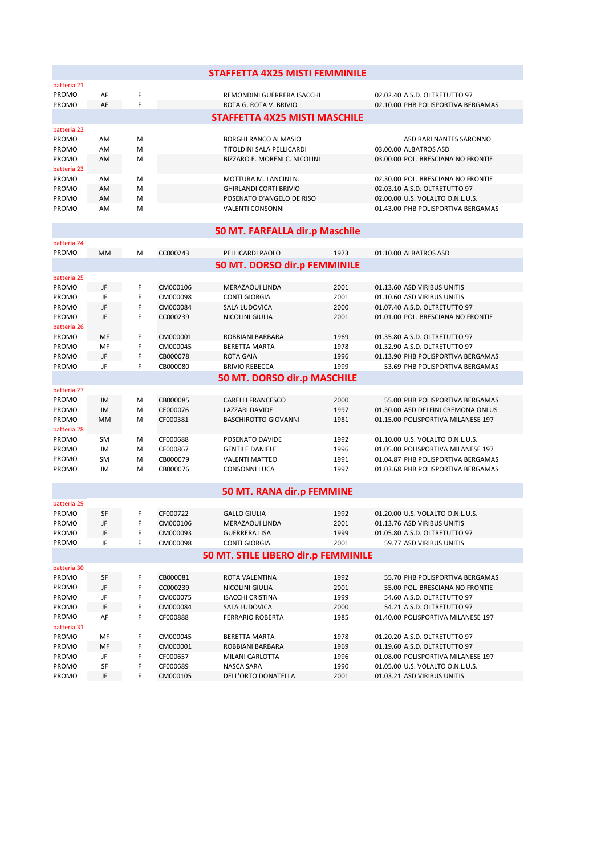|                                |           |        |                      | <b>STAFFETTA 4X25 MISTI FEMMINILE</b>                      |              |                                                                     |  |  |  |
|--------------------------------|-----------|--------|----------------------|------------------------------------------------------------|--------------|---------------------------------------------------------------------|--|--|--|
| batteria 21                    |           |        |                      |                                                            |              |                                                                     |  |  |  |
| PROMO                          | AF        | F      |                      | REMONDINI GUERRERA ISACCHI                                 |              | 02.02.40 A.S.D. OLTRETUTTO 97                                       |  |  |  |
| PROMO                          | AF        | F      |                      | ROTA G. ROTA V. BRIVIO                                     |              | 02.10.00 PHB POLISPORTIVA BERGAMAS                                  |  |  |  |
|                                |           |        |                      | <b>STAFFETTA 4X25 MISTI MASCHILE</b>                       |              |                                                                     |  |  |  |
| batteria 22                    |           |        |                      |                                                            |              |                                                                     |  |  |  |
| <b>PROMO</b>                   | AM        | M      |                      | <b>BORGHI RANCO ALMASIO</b>                                |              | ASD RARI NANTES SARONNO                                             |  |  |  |
| PROMO                          | AM        | M      |                      | TITOLDINI SALA PELLICARDI<br>BIZZARO E. MORENI C. NICOLINI |              | 03.00.00 ALBATROS ASD<br>03.00.00 POL. BRESCIANA NO FRONTIE         |  |  |  |
| PROMO<br>batteria 23           | AM        | M      |                      |                                                            |              |                                                                     |  |  |  |
| PROMO                          | AM        | м      |                      | MOTTURA M. LANCINI N.                                      |              | 02.30.00 POL. BRESCIANA NO FRONTIE                                  |  |  |  |
| PROMO                          | AM        | M      |                      | <b>GHIRLANDI CORTI BRIVIO</b>                              |              | 02.03.10 A.S.D. OLTRETUTTO 97                                       |  |  |  |
| PROMO                          | AM        | M      |                      | POSENATO D'ANGELO DE RISO                                  |              | 02.00.00 U.S. VOLALTO O.N.L.U.S.                                    |  |  |  |
| PROMO                          | AM        | M      |                      | <b>VALENTI CONSONNI</b>                                    |              | 01.43.00 PHB POLISPORTIVA BERGAMAS                                  |  |  |  |
| 50 MT. FARFALLA dir.p Maschile |           |        |                      |                                                            |              |                                                                     |  |  |  |
| batteria 24                    |           |        |                      |                                                            |              |                                                                     |  |  |  |
| PROMO                          | MM        | M      | CC000243             | PELLICARDI PAOLO                                           | 1973         | 01.10.00 ALBATROS ASD                                               |  |  |  |
|                                |           |        |                      | 50 MT. DORSO dir.p FEMMINILE                               |              |                                                                     |  |  |  |
| batteria 25                    |           |        |                      |                                                            |              |                                                                     |  |  |  |
| PROMO                          | JF        | F      | CM000106             | MERAZAOUI LINDA                                            | 2001         | 01.13.60 ASD VIRIBUS UNITIS                                         |  |  |  |
| PROMO                          | JF        | F      | CM000098             | <b>CONTI GIORGIA</b>                                       | 2001         | 01.10.60 ASD VIRIBUS UNITIS                                         |  |  |  |
| PROMO<br>PROMO                 | JF<br>JF  | F<br>F | CM000084<br>CC000239 | SALA LUDOVICA<br>NICOLINI GIULIA                           | 2000<br>2001 | 01.07.40 A.S.D. OLTRETUTTO 97<br>01.01.00 POL. BRESCIANA NO FRONTIE |  |  |  |
| batteria 26                    |           |        |                      |                                                            |              |                                                                     |  |  |  |
| PROMO                          | MF        | F      | CM000001             | ROBBIANI BARBARA                                           | 1969         | 01.35.80 A.S.D. OLTRETUTTO 97                                       |  |  |  |
| PROMO                          | MF        | F      | CM000045             | <b>BERETTA MARTA</b>                                       | 1978         | 01.32.90 A.S.D. OLTRETUTTO 97                                       |  |  |  |
| PROMO                          | JF        | F      | CB000078             | <b>ROTA GAIA</b>                                           | 1996         | 01.13.90 PHB POLISPORTIVA BERGAMAS                                  |  |  |  |
| PROMO                          | JF        | F      | CB000080             | <b>BRIVIO REBECCA</b>                                      | 1999         | 53.69 PHB POLISPORTIVA BERGAMAS                                     |  |  |  |
|                                |           |        |                      | 50 MT. DORSO dir.p MASCHILE                                |              |                                                                     |  |  |  |
| batteria 27                    |           |        |                      |                                                            |              |                                                                     |  |  |  |
| PROMO                          | JM        | м      | CB000085             | <b>CARELLI FRANCESCO</b>                                   | 2000         | 55.00 PHB POLISPORTIVA BERGAMAS                                     |  |  |  |
| PROMO                          | JM        | M      | CE000076             | LAZZARI DAVIDE                                             | 1997         | 01.30.00 ASD DELFINI CREMONA ONLUS                                  |  |  |  |
| PROMO<br>batteria 28           | MM        | M      | CF000381             | <b>BASCHIROTTO GIOVANNI</b>                                | 1981         | 01.15.00 POLISPORTIVA MILANESE 197                                  |  |  |  |
| PROMO                          | <b>SM</b> | M      | CF000688             | POSENATO DAVIDE                                            | 1992         | 01.10.00 U.S. VOLALTO O.N.L.U.S.                                    |  |  |  |
| PROMO                          | JM        | M      | CF000867             | <b>GENTILE DANIELE</b>                                     | 1996         | 01.05.00 POLISPORTIVA MILANESE 197                                  |  |  |  |
| PROMO                          | <b>SM</b> | M      | CB000079             | <b>VALENTI MATTEO</b>                                      | 1991         | 01.04.87 PHB POLISPORTIVA BERGAMAS                                  |  |  |  |
| PROMO                          | JM        | M      | CB000076             | <b>CONSONNI LUCA</b>                                       | 1997         | 01.03.68 PHB POLISPORTIVA BERGAMAS                                  |  |  |  |
|                                |           |        |                      | 50 MT. RANA dir.p FEMMINE                                  |              |                                                                     |  |  |  |
| batteria 29                    |           |        |                      |                                                            |              |                                                                     |  |  |  |
| PROMO                          | SF        | F      | CF000722             | GALLO GIULIA                                               | 1992         | 01.20.00 U.S. VOLALTO O.N.L.U.S.                                    |  |  |  |
| PROMO                          | JF        | F      | CM000106             | MERAZAOUI LINDA                                            | 2001         | 01.13.76 ASD VIRIBUS UNITIS                                         |  |  |  |
| PROMO                          | JF        | F      | CM000093             | <b>GUERRERA LISA</b>                                       | 1999         | 01.05.80 A.S.D. OLTRETUTTO 97                                       |  |  |  |
| PROMO                          | JF        | F      | CM000098             | <b>CONTI GIORGIA</b>                                       | 2001         | 59.77 ASD VIRIBUS UNITIS                                            |  |  |  |
|                                |           |        |                      | 50 MT. STILE LIBERO dir.p FEMMINILE                        |              |                                                                     |  |  |  |
| batteria 30                    |           |        |                      |                                                            |              | 55.70 PHB POLISPORTIVA BERGAMAS                                     |  |  |  |
| PROMO<br>PROMO                 | SF<br>JF  | F<br>F | CB000081<br>CC000239 | ROTA VALENTINA<br>NICOLINI GIULIA                          | 1992<br>2001 | 55.00 POL. BRESCIANA NO FRONTIE                                     |  |  |  |
| PROMO                          | JF        | F      | CM000075             | <b>ISACCHI CRISTINA</b>                                    | 1999         | 54.60 A.S.D. OLTRETUTTO 97                                          |  |  |  |
| PROMO                          | JF        | F      | CM000084             | <b>SALA LUDOVICA</b>                                       | 2000         | 54.21 A.S.D. OLTRETUTTO 97                                          |  |  |  |
| PROMO                          | AF        | F      | CF000888             | FERRARIO ROBERTA                                           | 1985         | 01.40.00 POLISPORTIVA MILANESE 197                                  |  |  |  |
| batteria 31                    |           |        |                      |                                                            |              |                                                                     |  |  |  |
| PROMO                          | MF        | F      | CM000045             | BERETTA MARTA                                              | 1978         | 01.20.20 A.S.D. OLTRETUTTO 97                                       |  |  |  |
| PROMO                          | MF        | F      | CM000001             | ROBBIANI BARBARA                                           | 1969         | 01.19.60 A.S.D. OLTRETUTTO 97                                       |  |  |  |
| PROMO                          | JF        | F      | CF000657             | MILANI CARLOTTA                                            | 1996         | 01.08.00 POLISPORTIVA MILANESE 197                                  |  |  |  |
| PROMO<br>PROMO                 | SF<br>JF  | F<br>F | CF000689<br>CM000105 | NASCA SARA<br>DELL'ORTO DONATELLA                          | 1990<br>2001 | 01.05.00 U.S. VOLALTO O.N.L.U.S.<br>01.03.21 ASD VIRIBUS UNITIS     |  |  |  |
|                                |           |        |                      |                                                            |              |                                                                     |  |  |  |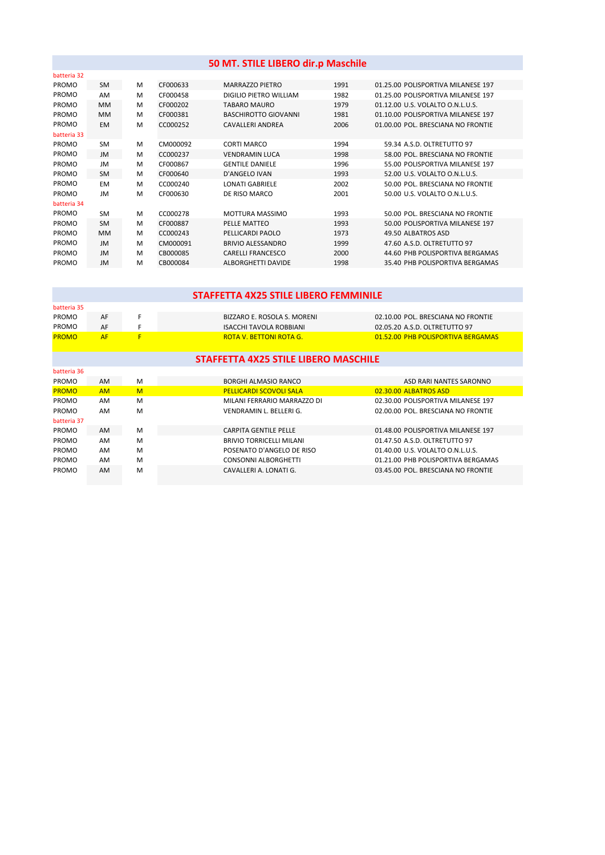| 50 MT. STILE LIBERO dir.p Maschile |           |   |          |                             |      |                                    |  |  |  |
|------------------------------------|-----------|---|----------|-----------------------------|------|------------------------------------|--|--|--|
| batteria 32                        |           |   |          |                             |      |                                    |  |  |  |
| <b>PROMO</b>                       | <b>SM</b> | M | CF000633 | MARRAZZO PIETRO             | 1991 | 01.25.00 POLISPORTIVA MILANESE 197 |  |  |  |
| PROMO                              | AM        | M | CF000458 | DIGILIO PIETRO WILLIAM      | 1982 | 01.25.00 POLISPORTIVA MILANESE 197 |  |  |  |
| PROMO                              | <b>MM</b> | M | CF000202 | <b>TABARO MAURO</b>         | 1979 | 01.12.00 U.S. VOLALTO O.N.L.U.S.   |  |  |  |
| PROMO                              | <b>MM</b> | M | CF000381 | <b>BASCHIROTTO GIOVANNI</b> | 1981 | 01.10.00 POLISPORTIVA MILANESE 197 |  |  |  |
| <b>PROMO</b>                       | <b>EM</b> | M | CC000252 | <b>CAVALLERI ANDREA</b>     | 2006 | 01.00.00 POL. BRESCIANA NO FRONTIE |  |  |  |
| batteria 33                        |           |   |          |                             |      |                                    |  |  |  |
| PROMO                              | <b>SM</b> | M | CM000092 | <b>CORTI MARCO</b>          | 1994 | 59.34 A.S.D. OLTRETUTTO 97         |  |  |  |
| <b>PROMO</b>                       | JM        | M | CC000237 | <b>VENDRAMIN LUCA</b>       | 1998 | 58.00 POL. BRESCIANA NO FRONTIE    |  |  |  |
| PROMO                              | JM        | M | CF000867 | <b>GENTILE DANIELE</b>      | 1996 | 55.00 POLISPORTIVA MILANESE 197    |  |  |  |
| PROMO                              | <b>SM</b> | M | CF000640 | D'ANGELO IVAN               | 1993 | 52.00 U.S. VOLALTO O.N.L.U.S.      |  |  |  |
| PROMO                              | <b>EM</b> | M | CC000240 | <b>LONATI GABRIELE</b>      | 2002 | 50.00 POL. BRESCIANA NO FRONTIE    |  |  |  |
| <b>PROMO</b>                       | JM        | M | CF000630 | DE RISO MARCO               | 2001 | 50.00 U.S. VOLALTO O.N.L.U.S.      |  |  |  |
| batteria 34                        |           |   |          |                             |      |                                    |  |  |  |
| PROMO                              | <b>SM</b> | M | CC000278 | <b>MOTTURA MASSIMO</b>      | 1993 | 50.00 POL. BRESCIANA NO FRONTIE    |  |  |  |
| PROMO                              | <b>SM</b> | M | CF000887 | PELLE MATTEO                | 1993 | 50.00 POLISPORTIVA MILANESE 197    |  |  |  |
| PROMO                              | <b>MM</b> | M | CC000243 | PELLICARDI PAOLO            | 1973 | 49.50 ALBATROS ASD                 |  |  |  |
| PROMO                              | JM        | M | CM000091 | <b>BRIVIO ALESSANDRO</b>    | 1999 | 47.60 A.S.D. OLTRETUTTO 97         |  |  |  |
| <b>PROMO</b>                       | JM        | M | CB000085 | CARELLI FRANCESCO           | 2000 | 44.60 PHB POLISPORTIVA BERGAMAS    |  |  |  |
| <b>PROMO</b>                       | JM        | M | CB000084 | ALBORGHETTI DAVIDE          | 1998 | 35.40 PHB POLISPORTIVA BERGAMAS    |  |  |  |

|           |   | STAFFETTA 4X25 STILE LIBERO FEMMINILE |                                      |
|-----------|---|---------------------------------------|--------------------------------------|
|           |   |                                       |                                      |
| AF        | F | <b>BIZZARO E. ROSOLA S. MORENI</b>    | 02.10.00 POL. BRESCIANA NO FRONTIE   |
| AF        | F | <b>ISACCHI TAVOLA ROBBIANI</b>        | 02.05.20 A.S.D. OLTRETUTTO 97        |
| <b>AF</b> | F | <b>ROTA V. BETTONI ROTA G.</b>        | 01.52.00 PHB POLISPORTIVA BERGAMAS   |
|           |   |                                       |                                      |
|           |   |                                       |                                      |
|           |   |                                       |                                      |
| AM        | M | <b>BORGHI ALMASIO RANCO</b>           | ASD RARI NANTES SARONNO              |
| <b>AM</b> | M | <b>PELLICARDI SCOVOLI SALA</b>        | 02.30.00 ALBATROS ASD                |
| AM        | M | MILANI FERRARIO MARRAZZO DI           | 02.30.00 POLISPORTIVA MILANESE 197   |
| AM        | M | VENDRAMIN L. BELLERI G.               | 02.00.00 POL. BRESCIANA NO FRONTIE   |
|           |   |                                       |                                      |
| AM        | M | <b>CARPITA GENTILE PELLE</b>          | 01.48.00 POLISPORTIVA MILANESE 197   |
| AM        | M | <b>BRIVIO TORRICELLI MILANI</b>       | 01.47.50 A.S.D. OLTRETUTTO 97        |
| AM        | M | POSENATO D'ANGELO DE RISO             | 01.40.00 U.S. VOLALTO O.N.L.U.S.     |
| AM        | M | <b>CONSONNI ALBORGHETTI</b>           | 01.21.00 PHB POLISPORTIVA BERGAMAS   |
| AM        | M | CAVALLERI A. LONATI G.                | 03.45.00 POL. BRESCIANA NO FRONTIE   |
|           |   |                                       |                                      |
|           |   |                                       | STAFFETTA 4X25 STILE LIBERO MASCHILE |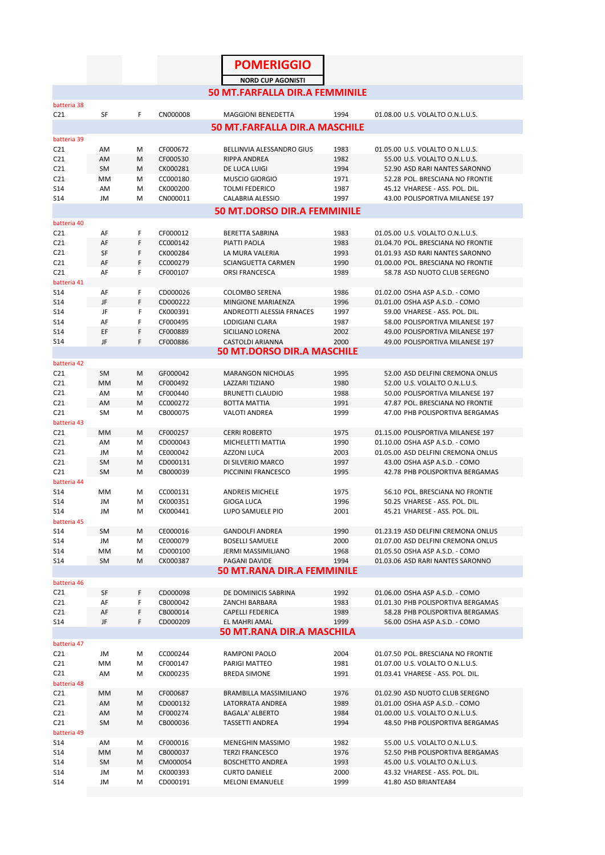|                                    |                        |        |                      |  | <b>POMERIGGIO</b>                                                 |              |  |                                                                        |  |
|------------------------------------|------------------------|--------|----------------------|--|-------------------------------------------------------------------|--------------|--|------------------------------------------------------------------------|--|
|                                    |                        |        |                      |  | <b>NORD CUP AGONISTI</b>                                          |              |  |                                                                        |  |
|                                    |                        |        |                      |  | <b>50 MT.FARFALLA DIR.A FEMMINILE</b>                             |              |  |                                                                        |  |
| batteria 38                        |                        |        |                      |  |                                                                   |              |  |                                                                        |  |
| C <sub>21</sub>                    | <b>SF</b>              | F      | CN000008             |  | <b>MAGGIONI BENEDETTA</b><br><b>50 MT.FARFALLA DIR.A MASCHILE</b> | 1994         |  | 01.08.00 U.S. VOLALTO O.N.L.U.S.                                       |  |
| batteria 39                        |                        |        |                      |  |                                                                   |              |  |                                                                        |  |
| C <sub>21</sub>                    | AM                     | М      | CF000672             |  | BELLINVIA ALESSANDRO GIUS                                         | 1983         |  | 01.05.00 U.S. VOLALTO O.N.L.U.S.                                       |  |
| C <sub>21</sub>                    | AM                     | M      | CF000530             |  | <b>RIPPA ANDREA</b>                                               | 1982         |  | 55.00 U.S. VOLALTO O.N.L.U.S.                                          |  |
| C <sub>21</sub><br>C <sub>21</sub> | SM<br>MM               | M<br>м | CK000281<br>CC000180 |  | DE LUCA LUIGI<br><b>MUSCIO GIORGIO</b>                            | 1994<br>1971 |  | 52.90 ASD RARI NANTES SARONNO<br>52.28 POL. BRESCIANA NO FRONTIE       |  |
| S14                                | AM                     | M      | CK000200             |  | <b>TOLMI FEDERICO</b>                                             | 1987         |  | 45.12 VHARESE - ASS. POL. DIL.                                         |  |
| S <sub>14</sub>                    | JM                     | M      | CN000011             |  | <b>CALABRIA ALESSIO</b>                                           | 1997         |  | 43.00 POLISPORTIVA MILANESE 197                                        |  |
| <b>50 MT.DORSO DIR.A FEMMINILE</b> |                        |        |                      |  |                                                                   |              |  |                                                                        |  |
| batteria 40                        |                        |        |                      |  |                                                                   |              |  |                                                                        |  |
| C <sub>21</sub><br>C <sub>21</sub> | AF<br>AF               | F<br>F | CF000012<br>CC000142 |  | <b>BERETTA SABRINA</b><br>PIATTI PAOLA                            | 1983<br>1983 |  | 01.05.00 U.S. VOLALTO O.N.L.U.S.<br>01.04.70 POL. BRESCIANA NO FRONTIE |  |
| C <sub>21</sub>                    | SF                     | F      | CK000284             |  | LA MURA VALERIA                                                   | 1993         |  | 01.01.93 ASD RARI NANTES SARONNO                                       |  |
| C <sub>21</sub>                    | AF                     | F      | CC000279             |  | <b>SCIANGUETTA CARMEN</b>                                         | 1990         |  | 01.00.00 POL. BRESCIANA NO FRONTIE                                     |  |
| C <sub>21</sub>                    | AF                     | F      | CF000107             |  | <b>ORSI FRANCESCA</b>                                             | 1989         |  | 58.78 ASD NUOTO CLUB SEREGNO                                           |  |
| batteria 41<br>S14                 | AF                     | F      | CD000026             |  | <b>COLOMBO SERENA</b>                                             | 1986         |  | 01.02.00 OSHA ASP A.S.D. - COMO                                        |  |
| S <sub>14</sub>                    | JF                     | F      | CD000222             |  | MINGIONE MARIAENZA                                                | 1996         |  | 01.01.00 OSHA ASP A.S.D. - COMO                                        |  |
| S14                                | JF                     | F      | CK000391             |  | ANDREOTTI ALESSIA FRNACES                                         | 1997         |  | 59.00 VHARESE - ASS. POL. DIL.                                         |  |
| S <sub>14</sub>                    | AF                     | F      | CF000495             |  | LODIGIANI CLARA                                                   | 1987         |  | 58.00 POLISPORTIVA MILANESE 197                                        |  |
| S14                                | EF                     | F      | CF000889             |  | <b>SICILIANO LORENA</b>                                           | 2002         |  | 49.00 POLISPORTIVA MILANESE 197                                        |  |
| S <sub>14</sub>                    | JF                     | F      | CF000886             |  | <b>CASTOLDI ARIANNA</b><br><b>50 MT.DORSO DIR.A MASCHILE</b>      | 2000         |  | 49.00 POLISPORTIVA MILANESE 197                                        |  |
| batteria 42                        |                        |        |                      |  |                                                                   |              |  |                                                                        |  |
| C <sub>21</sub>                    | <b>SM</b>              | M      | GF000042             |  | <b>MARANGON NICHOLAS</b>                                          | 1995         |  | 52.00 ASD DELFINI CREMONA ONLUS                                        |  |
| C <sub>21</sub>                    | <b>MM</b>              | M      | CF000492             |  | LAZZARI TIZIANO                                                   | 1980         |  | 52.00 U.S. VOLALTO O.N.L.U.S.                                          |  |
| C <sub>21</sub>                    | AM                     | М      | CF000440             |  | <b>BRUNETTI CLAUDIO</b>                                           | 1988         |  | 50.00 POLISPORTIVA MILANESE 197                                        |  |
| C <sub>21</sub>                    | AM                     | M      | CC000272             |  | <b>BOTTA MATTIA</b>                                               | 1991         |  | 47.87 POL. BRESCIANA NO FRONTIE                                        |  |
| C <sub>21</sub><br>batteria 43     | <b>SM</b>              | М      | CB000075             |  | <b>VALOTI ANDREA</b>                                              | 1999         |  | 47.00 PHB POLISPORTIVA BERGAMAS                                        |  |
| C <sub>21</sub>                    | <b>MM</b>              | M      | CF000257             |  | <b>CERRI ROBERTO</b>                                              | 1975         |  | 01.15.00 POLISPORTIVA MILANESE 197                                     |  |
| C <sub>21</sub>                    | AM                     | М      | CD000043             |  | MICHELETTI MATTIA                                                 | 1990         |  | 01.10.00 OSHA ASP A.S.D. - COMO                                        |  |
| C <sub>21</sub>                    | JM                     | м      | CE000042             |  | <b>AZZONI LUCA</b>                                                | 2003         |  | 01.05.00 ASD DELFINI CREMONA ONLUS                                     |  |
| C <sub>21</sub><br>C <sub>21</sub> | <b>SM</b><br><b>SM</b> | M<br>M | CD000131<br>CB000039 |  | DI SILVERIO MARCO<br>PICCININI FRANCESCO                          | 1997<br>1995 |  | 43.00 OSHA ASP A.S.D. - COMO<br>42.78 PHB POLISPORTIVA BERGAMAS        |  |
| batteria 44                        |                        |        |                      |  |                                                                   |              |  |                                                                        |  |
| S14                                | MM                     | M      | CC000131             |  | ANDREIS MICHELE                                                   | 1975         |  | 56.10 POL. BRESCIANA NO FRONTIE                                        |  |
| S14                                | JM                     | м      | CK000351             |  | <b>GIOGA LUCA</b>                                                 | 1996         |  | 50.25 VHARESE - ASS. POL. DIL.                                         |  |
| S14                                | JM                     | M      | CK000441             |  | LUPO SAMUELE PIO                                                  | 2001         |  | 45.21 VHARESE - ASS. POL. DIL.                                         |  |
| batteria 45<br>S14                 | <b>SM</b>              | M      | CE000016             |  | <b>GANDOLFI ANDREA</b>                                            | 1990         |  | 01.23.19 ASD DELFINI CREMONA ONLUS                                     |  |
| S14                                | JM                     | М      | CE000079             |  | <b>BOSELLI SAMUELE</b>                                            | 2000         |  | 01.07.00 ASD DELFINI CREMONA ONLUS                                     |  |
| S14                                | MM                     | М      | CD000100             |  | JERMI MASSIMILIANO                                                | 1968         |  | 01.05.50 OSHA ASP A.S.D. - COMO                                        |  |
| S14                                | <b>SM</b>              | M      | CK000387             |  | PAGANI DAVIDE                                                     | 1994         |  | 01.03.06 ASD RARI NANTES SARONNO                                       |  |
|                                    |                        |        |                      |  | <b>50 MT.RANA DIR.A FEMMINILE</b>                                 |              |  |                                                                        |  |
| batteria 46<br>C <sub>21</sub>     | SF                     | F      | CD000098             |  | DE DOMINICIS SABRINA                                              | 1992         |  | 01.06.00 OSHA ASP A.S.D. - COMO                                        |  |
| C <sub>21</sub>                    | AF                     | F      | CB000042             |  | ZANCHI BARBARA                                                    | 1983         |  | 01.01.30 PHB POLISPORTIVA BERGAMAS                                     |  |
| C <sub>21</sub>                    | AF                     | F      | CB000014             |  | <b>CAPELLI FEDERICA</b>                                           | 1989         |  | 58.28 PHB POLISPORTIVA BERGAMAS                                        |  |
| S14                                | JF                     | F      | CD000209             |  | EL MAHRI AMAL                                                     | 1999         |  | 56.00 OSHA ASP A.S.D. - COMO                                           |  |
|                                    |                        |        |                      |  | <b>50 MT.RANA DIR.A MASCHILA</b>                                  |              |  |                                                                        |  |
| batteria 47                        |                        |        | CC000244             |  |                                                                   |              |  |                                                                        |  |
| C <sub>21</sub><br>C <sub>21</sub> | JM<br>МM               | М<br>М | CF000147             |  | RAMPONI PAOLO<br>PARIGI MATTEO                                    | 2004<br>1981 |  | 01.07.50 POL. BRESCIANA NO FRONTIE<br>01.07.00 U.S. VOLALTO O.N.L.U.S. |  |
| C21                                | AM                     | М      | CK000235             |  | <b>BREDA SIMONE</b>                                               | 1991         |  | 01.03.41 VHARESE - ASS. POL. DIL.                                      |  |
| batteria 48                        |                        |        |                      |  |                                                                   |              |  |                                                                        |  |
| C <sub>21</sub>                    | <b>MM</b>              | M      | CF000687             |  | <b>BRAMBILLA MASSIMILIANO</b>                                     | 1976         |  | 01.02.90 ASD NUOTO CLUB SEREGNO                                        |  |
| C <sub>21</sub><br>C <sub>21</sub> | AM<br>AM               | M<br>M | CD000132<br>CF000274 |  | LATORRATA ANDREA<br><b>BAGALA' ALBERTO</b>                        | 1989<br>1984 |  | 01.01.00 OSHA ASP A.S.D. - COMO<br>01.00.00 U.S. VOLALTO O.N.L.U.S.    |  |
| C21                                | SM                     | M      | CB000036             |  | <b>TASSETTI ANDREA</b>                                            | 1994         |  | 48.50 PHB POLISPORTIVA BERGAMAS                                        |  |
| batteria 49                        |                        |        |                      |  |                                                                   |              |  |                                                                        |  |
| S14                                | AM                     | М      | CF000016             |  | MENEGHIN MASSIMO                                                  | 1982         |  | 55.00 U.S. VOLALTO O.N.L.U.S.                                          |  |
| S14                                | МM                     | М      | CB000037             |  | <b>TERZI FRANCESCO</b>                                            | 1976         |  | 52.50 PHB POLISPORTIVA BERGAMAS                                        |  |
| S14<br>S14                         | SM<br>JM               | M<br>М | CM000054<br>CK000393 |  | <b>BOSCHETTO ANDREA</b><br><b>CURTO DANIELE</b>                   | 1993<br>2000 |  | 45.00 U.S. VOLALTO O.N.L.U.S.<br>43.32 VHARESE - ASS. POL. DIL.        |  |
| S14                                | JM                     | М      | CD000191             |  | <b>MELONI EMANUELE</b>                                            | 1999         |  | 41.80 ASD BRIANTEA84                                                   |  |
|                                    |                        |        |                      |  |                                                                   |              |  |                                                                        |  |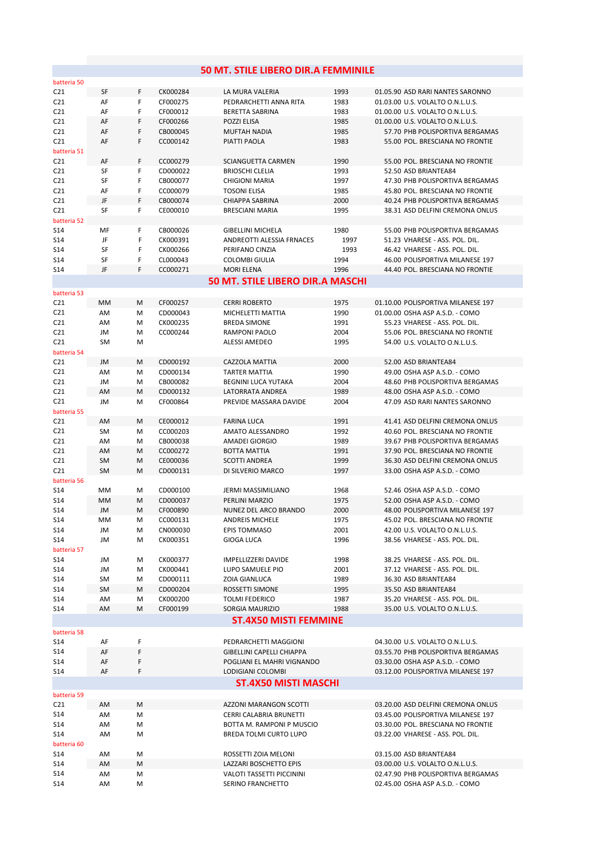|                    |                 |        |                      | 50 MT. STILE LIBERO DIR.A FEMMINILE                        |              |                                                                        |
|--------------------|-----------------|--------|----------------------|------------------------------------------------------------|--------------|------------------------------------------------------------------------|
| batteria 50        |                 |        |                      |                                                            |              |                                                                        |
| C21                | SF              | F      | CK000284             | LA MURA VALERIA                                            | 1993         | 01.05.90 ASD RARI NANTES SARONNO                                       |
| C21                | AF              | F      | CF000275             | PEDRARCHETTI ANNA RITA                                     | 1983         | 01.03.00 U.S. VOLALTO O.N.L.U.S.                                       |
| C21                | AF              | F      | CF000012             | BERETTA SABRINA                                            | 1983         | 01.00.00 U.S. VOLALTO O.N.L.U.S.                                       |
| C21                | AF              | F      | CF000266             | POZZI ELISA                                                | 1985         | 01.00.00 U.S. VOLALTO O.N.L.U.S.                                       |
| C <sub>21</sub>    | AF              | F      | CB000045             | <b>MUFTAH NADIA</b>                                        | 1985         | 57.70 PHB POLISPORTIVA BERGAMAS                                        |
| C21                | AF              | F      | CC000142             | PIATTI PAOLA                                               | 1983         | 55.00 POL. BRESCIANA NO FRONTIE                                        |
| batteria 51<br>C21 | AF              | F      | CC000279             | <b>SCIANGUETTA CARMEN</b>                                  | 1990         | 55.00 POL. BRESCIANA NO FRONTIE                                        |
| C21                | SF              | F      | CD000022             | <b>BRIOSCHI CLELIA</b>                                     | 1993         | 52.50 ASD BRIANTEA84                                                   |
| C21                | SF              | F      | CB000077             | <b>CHIGIONI MARIA</b>                                      | 1997         | 47.30 PHB POLISPORTIVA BERGAMAS                                        |
| C21                | AF              | F      | CC000079             | <b>TOSONI ELISA</b>                                        | 1985         | 45.80 POL. BRESCIANA NO FRONTIE                                        |
| C21                | JF              | F      | CB000074             | <b>CHIAPPA SABRINA</b>                                     | 2000         | 40.24 PHB POLISPORTIVA BERGAMAS                                        |
| C21                | <b>SF</b>       | F      | CE000010             | <b>BRESCIANI MARIA</b>                                     | 1995         | 38.31 ASD DELFINI CREMONA ONLUS                                        |
| batteria 52        |                 |        |                      |                                                            |              |                                                                        |
| S14                | MF              | F      | CB000026             | <b>GIBELLINI MICHELA</b>                                   | 1980         | 55.00 PHB POLISPORTIVA BERGAMAS                                        |
| S14                | JF              | F<br>F | CK000391             | ANDREOTTI ALESSIA FRNACES                                  | 1997         | 51.23 VHARESE - ASS. POL. DIL.                                         |
| S14<br>S14         | SF<br>SF        | F      | CK000266<br>CL000043 | PERIFANO CINZIA<br><b>COLOMBI GIULIA</b>                   | 1993<br>1994 | 46.42 VHARESE - ASS. POL. DIL.<br>46.00 POLISPORTIVA MILANESE 197      |
| S14                | JF              | F      | CC000271             | <b>MORI ELENA</b>                                          | 1996         | 44.40 POL. BRESCIANA NO FRONTIE                                        |
|                    |                 |        |                      | 50 MT. STILE LIBERO DIR.A MASCHI                           |              |                                                                        |
| batteria 53        |                 |        |                      |                                                            |              |                                                                        |
| C21                | MM              | М      | CF000257             | <b>CERRI ROBERTO</b>                                       | 1975         | 01.10.00 POLISPORTIVA MILANESE 197                                     |
| C21                | AM              | м      | CD000043             | MICHELETTI MATTIA                                          | 1990         | 01.00.00 OSHA ASP A.S.D. - COMO                                        |
| C21                | AM              | M      | CK000235             | <b>BREDA SIMONE</b>                                        | 1991         | 55.23 VHARESE - ASS. POL. DIL.                                         |
| C21                | JM              | м      | CC000244             | RAMPONI PAOLO                                              | 2004         | 55.06 POL. BRESCIANA NO FRONTIE                                        |
| C21                | <b>SM</b>       | M      |                      | <b>ALESSI AMEDEO</b>                                       | 1995         | 54.00 U.S. VOLALTO O.N.L.U.S.                                          |
| batteria 54        |                 |        |                      |                                                            |              |                                                                        |
| C <sub>21</sub>    | JM              | M      | CD000192             | CAZZOLA MATTIA                                             | 2000         | 52.00 ASD BRIANTEA84                                                   |
| C21                | AM              | M      | CD000134             | <b>TARTER MATTIA</b>                                       | 1990         | 49.00 OSHA ASP A.S.D. - COMO                                           |
| C21<br>C21         | JM              | м      | CB000082<br>CD000132 | <b>BEGNINI LUCA YUTAKA</b><br>LATORRATA ANDREA             | 2004<br>1989 | 48.60 PHB POLISPORTIVA BERGAMAS<br>48.00 OSHA ASP A.S.D. - COMO        |
| C <sub>21</sub>    | AM<br>JM        | M<br>M | CF000864             | PREVIDE MASSARA DAVIDE                                     | 2004         | 47.09 ASD RARI NANTES SARONNO                                          |
| batteria 55        |                 |        |                      |                                                            |              |                                                                        |
| C21                | AM              | M      | CE000012             | <b>FARINA LUCA</b>                                         | 1991         | 41.41 ASD DELFINI CREMONA ONLUS                                        |
| C <sub>21</sub>    | SM              | M      | CC000203             | AMATO ALESSANDRO                                           | 1992         | 40.60 POL. BRESCIANA NO FRONTIE                                        |
| C21                | AM              | M      | CB000038             | AMADEI GIORGIO                                             | 1989         | 39.67 PHB POLISPORTIVA BERGAMAS                                        |
| C21                | AM              | м      | CC000272             | <b>BOTTA MATTIA</b>                                        | 1991         | 37.90 POL. BRESCIANA NO FRONTIE                                        |
| C21                | <b>SM</b>       | м      | CE000036             | <b>SCOTTI ANDREA</b>                                       | 1999         | 36.30 ASD DELFINI CREMONA ONLUS                                        |
| C21                | <b>SM</b>       | м      | CD000131             | DI SILVERIO MARCO                                          | 1997         | 33.00 OSHA ASP A.S.D. - COMO                                           |
| batteria 56        |                 |        |                      |                                                            |              |                                                                        |
| S14<br>S14         | MM<br>MM        | M<br>м | CD000100<br>CD000037 | JERMI MASSIMILIANO<br>PERLINI MARZIO                       | 1968<br>1975 | 52.46 OSHA ASP A.S.D. - COMO<br>52.00 OSHA ASP A.S.D. - COMO           |
| S14                | JM              | M      | CF000890             | NUNEZ DEL ARCO BRANDO                                      | 2000         | 48.00 POLISPORTIVA MILANESE 197                                        |
| S14                | MМ              | M      | CC000131             | <b>ANDREIS MICHELE</b>                                     | 1975         | 45.02 POL. BRESCIANA NO FRONTIE                                        |
| S14                | JM              | Μ      | CN000030             | EPIS TOMMASO                                               | 2001         | 42.00 U.S. VOLALTO O.N.L.U.S.                                          |
| S14                | JM              | M      | CK000351             | <b>GIOGA LUCA</b>                                          | 1996         | 38.56 VHARESE - ASS. POL. DIL.                                         |
| batteria 57        |                 |        |                      |                                                            |              |                                                                        |
| S14                | JM              | M      | CK000377             | <b>IMPELLIZZERI DAVIDE</b>                                 | 1998         | 38.25 VHARESE - ASS. POL. DIL.                                         |
| S14                | JM              | M      | CK000441             | LUPO SAMUELE PIO                                           | 2001         | 37.12 VHARESE - ASS. POL. DIL.                                         |
| S14                | SM              | M      | CD000111             | ZOIA GIANLUCA                                              | 1989         | 36.30 ASD BRIANTEA84                                                   |
| S14<br>S14         | <b>SM</b><br>AM | M<br>M | CD000204<br>CK000200 | ROSSETTI SIMONE<br><b>TOLMI FEDERICO</b>                   | 1995<br>1987 | 35.50 ASD BRIANTEA84<br>35.20 VHARESE - ASS. POL. DIL.                 |
| S14                | AM              | M      | CF000199             | SORGIA MAURIZIO                                            | 1988         | 35.00 U.S. VOLALTO O.N.L.U.S.                                          |
|                    |                 |        |                      | <b>ST.4X50 MISTI FEMMINE</b>                               |              |                                                                        |
| batteria 58        |                 |        |                      |                                                            |              |                                                                        |
| S14                | AF              | F      |                      | PEDRARCHETTI MAGGIONI                                      |              | 04.30.00 U.S. VOLALTO O.N.L.U.S.                                       |
| S14                | AF              | F      |                      | <b>GIBELLINI CAPELLI CHIAPPA</b>                           |              | 03.55.70 PHB POLISPORTIVA BERGAMAS                                     |
| S14                | AF              | F      |                      | POGLIANI EL MAHRI VIGNANDO                                 |              | 03.30.00 OSHA ASP A.S.D. - COMO                                        |
| S14                | AF              | F      |                      | LODIGIANI COLOMBI                                          |              | 03.12.00 POLISPORTIVA MILANESE 197                                     |
|                    |                 |        |                      | <b>ST.4X50 MISTI MASCHI</b>                                |              |                                                                        |
| batteria 59        |                 |        |                      |                                                            |              |                                                                        |
| C <sub>21</sub>    | AM              | M      |                      | AZZONI MARANGON SCOTTI                                     |              | 03.20.00 ASD DELFINI CREMONA ONLUS                                     |
| S14                | AM              | М      |                      | CERRI CALABRIA BRUNETTI                                    |              | 03.45.00 POLISPORTIVA MILANESE 197                                     |
| S14                | AM              | Μ      |                      | BOTTA M. RAMPONI P MUSCIO                                  |              | 03.30.00 POL. BRESCIANA NO FRONTIE                                     |
| S14                | AM              | M      |                      | BREDA TOLMI CURTO LUPO                                     |              | 03.22.00 VHARESE - ASS. POL. DIL.                                      |
| batteria 60        |                 |        |                      |                                                            |              |                                                                        |
| S14                | AM              | M      |                      | ROSSETTI ZOIA MELONI                                       |              | 03.15.00 ASD BRIANTEA84                                                |
| S14<br>S14         | AM              | Μ      |                      | LAZZARI BOSCHETTO EPIS<br><b>VALOTI TASSETTI PICCININI</b> |              | 03.00.00 U.S. VOLALTO O.N.L.U.S.<br>02.47.90 PHB POLISPORTIVA BERGAMAS |
| S14                | AM<br>AM        | М<br>Μ |                      | SERINO FRANCHETTO                                          |              | 02.45.00 OSHA ASP A.S.D. - COMO                                        |
|                    |                 |        |                      |                                                            |              |                                                                        |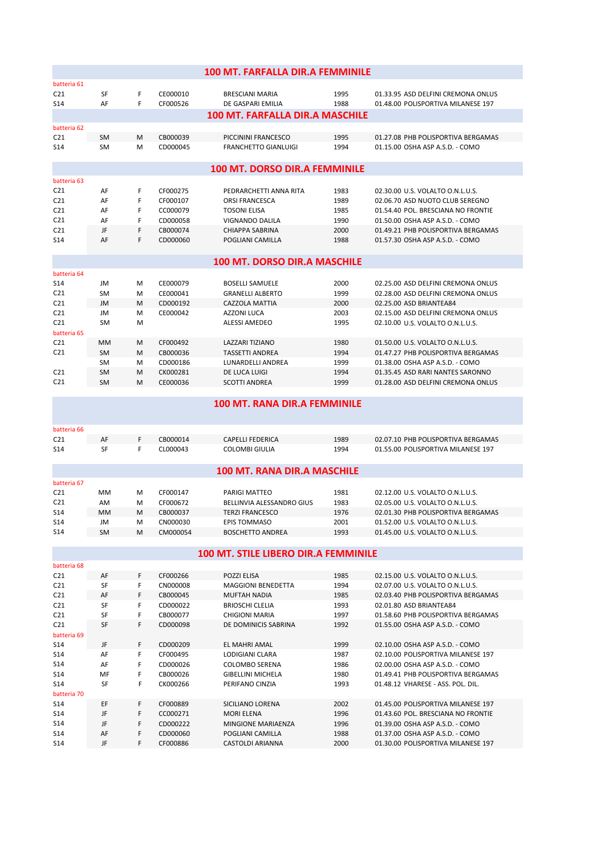|                                      |                                        |   |          | <b>100 MT. FARFALLA DIR.A FEMMINILE</b> |      |                                    |  |  |  |  |  |
|--------------------------------------|----------------------------------------|---|----------|-----------------------------------------|------|------------------------------------|--|--|--|--|--|
| batteria 61                          |                                        |   |          |                                         |      |                                    |  |  |  |  |  |
| C <sub>21</sub>                      | SF                                     | F | CE000010 | <b>BRESCIANI MARIA</b>                  | 1995 | 01.33.95 ASD DELFINI CREMONA ONLUS |  |  |  |  |  |
| S <sub>14</sub>                      | AF                                     | F | CF000526 | DE GASPARI EMILIA                       | 1988 | 01.48.00 POLISPORTIVA MILANESE 197 |  |  |  |  |  |
|                                      | <b>100 MT. FARFALLA DIR.A MASCHILE</b> |   |          |                                         |      |                                    |  |  |  |  |  |
| batteria 62                          |                                        |   |          |                                         |      |                                    |  |  |  |  |  |
| C <sub>21</sub>                      | <b>SM</b>                              | M | CB000039 | PICCININI FRANCESCO                     | 1995 | 01.27.08 PHB POLISPORTIVA BERGAMAS |  |  |  |  |  |
| S <sub>14</sub>                      | <b>SM</b>                              | м | CD000045 | <b>FRANCHETTO GIANLUIGI</b>             | 1994 | 01.15.00 OSHA ASP A.S.D. - COMO    |  |  |  |  |  |
| <b>100 MT. DORSO DIR.A FEMMINILE</b> |                                        |   |          |                                         |      |                                    |  |  |  |  |  |
| batteria 63                          |                                        |   |          |                                         |      |                                    |  |  |  |  |  |
| C <sub>21</sub>                      | AF                                     | F | CF000275 | PEDRARCHETTI ANNA RITA                  | 1983 | 02.30.00 U.S. VOLALTO O.N.L.U.S.   |  |  |  |  |  |
| C <sub>21</sub>                      | AF                                     | F | CF000107 | <b>ORSI FRANCESCA</b>                   | 1989 | 02.06.70 ASD NUOTO CLUB SEREGNO    |  |  |  |  |  |
| C <sub>21</sub>                      | AF                                     | F | CC000079 | <b>TOSONI ELISA</b>                     | 1985 | 01.54.40 POL. BRESCIANA NO FRONTIE |  |  |  |  |  |
| C <sub>21</sub>                      | AF                                     | F | CD000058 | <b>VIGNANDO DALILA</b>                  | 1990 | 01.50.00 OSHA ASP A.S.D. - COMO    |  |  |  |  |  |
| C <sub>21</sub>                      | JF                                     | F | CB000074 | CHIAPPA SABRINA                         | 2000 | 01.49.21 PHB POLISPORTIVA BERGAMAS |  |  |  |  |  |
| <b>S14</b>                           | AF                                     | F | CD000060 | POGLIANI CAMILLA                        | 1988 | 01.57.30 OSHA ASP A.S.D. - COMO    |  |  |  |  |  |
|                                      |                                        |   |          | <b>100 MT. DORSO DIR.A MASCHILE</b>     |      |                                    |  |  |  |  |  |
| batteria 64                          |                                        |   |          |                                         |      |                                    |  |  |  |  |  |
| S14                                  | JM                                     | M | CE000079 | <b>BOSELLI SAMUELE</b>                  | 2000 | 02.25.00 ASD DELFINI CREMONA ONLUS |  |  |  |  |  |
| C <sub>21</sub>                      | <b>SM</b>                              | м | CE000041 | <b>GRANELLI ALBERTO</b>                 | 1999 | 02.28.00 ASD DELFINI CREMONA ONLUS |  |  |  |  |  |
| C <sub>21</sub>                      | <b>JM</b>                              | M | CD000192 | CAZZOLA MATTIA                          | 2000 | 02.25.00 ASD BRIANTEA84            |  |  |  |  |  |
| C <sub>21</sub>                      | JM                                     | M | CE000042 | <b>AZZONI LUCA</b>                      | 2003 | 02.15.00 ASD DELFINI CREMONA ONLUS |  |  |  |  |  |
| C <sub>21</sub>                      | <b>SM</b>                              | м |          | <b>ALESSI AMEDEO</b>                    | 1995 | 02.10.00 U.S. VOLALTO O.N.L.U.S.   |  |  |  |  |  |
| batteria 65                          |                                        |   |          |                                         |      |                                    |  |  |  |  |  |
| C <sub>21</sub>                      | MМ                                     | M | CF000492 | <b>LAZZARI TIZIANO</b>                  | 1980 | 01.50.00 U.S. VOLALTO O.N.L.U.S.   |  |  |  |  |  |
| C <sub>21</sub>                      | <b>SM</b>                              | M | CB000036 | <b>TASSETTI ANDREA</b>                  | 1994 | 01.47.27 PHB POLISPORTIVA BERGAMAS |  |  |  |  |  |
|                                      | <b>SM</b>                              | M | CD000186 | LUNARDELLI ANDREA                       | 1999 | 01.38.00 OSHA ASP A.S.D. - COMO    |  |  |  |  |  |
| C <sub>21</sub>                      | <b>SM</b>                              | M | CK000281 | DE LUCA LUIGI                           | 1994 | 01.35.45 ASD RARI NANTES SARONNO   |  |  |  |  |  |
| C <sub>21</sub>                      | <b>SM</b>                              | м | CE000036 | <b>SCOTTI ANDREA</b>                    | 1999 | 01.28.00 ASD DELFINI CREMONA ONLUS |  |  |  |  |  |
|                                      |                                        |   |          |                                         |      |                                    |  |  |  |  |  |

## **100 MT. RANA DIR.A FEMMINILE**

| <b>100 MT. RANA DIR.A MASCHILE</b> |    |  |          |                  |      |                                    |  |  |  |
|------------------------------------|----|--|----------|------------------|------|------------------------------------|--|--|--|
| S <sub>14</sub>                    | SF |  | CL000043 | COLOMBI GIULIA   | 1994 | 01.55.00 POLISPORTIVA MILANESE 197 |  |  |  |
| C <sub>21</sub>                    | AF |  | CB000014 | CAPELLI FEDERICA | 1989 | 02.07.10 PHB POLISPORTIVA BERGAMAS |  |  |  |
| batteria 66                        |    |  |          |                  |      |                                    |  |  |  |

|                 | <b>100 MT. RANA DIR.A MASCHILE</b> |   |          |                           |      |                                    |  |  |  |  |  |
|-----------------|------------------------------------|---|----------|---------------------------|------|------------------------------------|--|--|--|--|--|
| batteria 67     |                                    |   |          |                           |      |                                    |  |  |  |  |  |
| C <sub>21</sub> | MМ                                 | м | CF000147 | PARIGI MATTEO             | 1981 | 02.12.00 U.S. VOLALTO O.N.L.U.S.   |  |  |  |  |  |
| C <sub>21</sub> | AM                                 | M | CF000672 | BELLINVIA ALESSANDRO GIUS | 1983 | 02.05.00 U.S. VOLALTO O.N.L.U.S.   |  |  |  |  |  |
| S14             | <b>MM</b>                          | M | CB000037 | <b>TERZI FRANCESCO</b>    | 1976 | 02.01.30 PHB POLISPORTIVA BERGAMAS |  |  |  |  |  |
| S <sub>14</sub> | JM                                 | м | CN000030 | <b>EPIS TOMMASO</b>       | 2001 | 01.52.00 U.S. VOLALTO O.N.L.U.S.   |  |  |  |  |  |
| S <sub>14</sub> | SM                                 | м | CM000054 | <b>BOSCHETTO ANDREA</b>   | 1993 | 01.45.00 U.S. VOLALTO O.N.L.U.S.   |  |  |  |  |  |

## **100 MT. STILE LIBERO DIR.A FEMMINILE**

| batteria 68     |           |   |          |                           |      |                                    |
|-----------------|-----------|---|----------|---------------------------|------|------------------------------------|
| C <sub>21</sub> | AF        | F | CF000266 | <b>POZZI ELISA</b>        | 1985 | 02.15.00 U.S. VOLALTO O.N.L.U.S.   |
| C <sub>21</sub> | <b>SF</b> | F | CN000008 | <b>MAGGIONI BENEDETTA</b> | 1994 | 02.07.00 U.S. VOLALTO O.N.L.U.S.   |
| C <sub>21</sub> | AF        | F | CB000045 | <b>MUFTAH NADIA</b>       | 1985 | 02.03.40 PHB POLISPORTIVA BERGAMAS |
| C <sub>21</sub> | <b>SF</b> | F | CD000022 | <b>BRIOSCHI CLELIA</b>    | 1993 | 02.01.80 ASD BRIANTEA84            |
| C <sub>21</sub> | <b>SF</b> | F | CB000077 | <b>CHIGIONI MARIA</b>     | 1997 | 01.58.60 PHB POLISPORTIVA BERGAMAS |
| C <sub>21</sub> | <b>SF</b> | F | CD000098 | DE DOMINICIS SABRINA      | 1992 | 01.55.00 OSHA ASP A.S.D. - COMO    |
| batteria 69     |           |   |          |                           |      |                                    |
| S <sub>14</sub> | JF        | F | CD000209 | EL MAHRI AMAL             | 1999 | 02.10.00 OSHA ASP A.S.D. - COMO    |
| S <sub>14</sub> | AF        | F | CF000495 | LODIGIANI CLARA           | 1987 | 02.10.00 POLISPORTIVA MILANESE 197 |
| S <sub>14</sub> | AF        | F | CD000026 | COLOMBO SERENA            | 1986 | 02.00.00 OSHA ASP A.S.D. - COMO    |
| S <sub>14</sub> | MF        | F | CB000026 | <b>GIBELLINI MICHELA</b>  | 1980 | 01 49 41 PHR POLISPORTIVA RERGAMAS |
| S <sub>14</sub> | <b>SF</b> | F | CK000266 | PERIFANO CINZIA           | 1993 | 01.48.12 VHARESE - ASS. POL. DIL.  |
| batteria 70     |           |   |          |                           |      |                                    |
| S <sub>14</sub> | EF        | F | CF000889 | SICILIANO LORENA          | 2002 | 01.45.00 POLISPORTIVA MILANESE 197 |
| S <sub>14</sub> | JF        | F | CC000271 | <b>MORI ELENA</b>         | 1996 | 01.43.60 POL. BRESCIANA NO FRONTIE |
| S <sub>14</sub> | JF        | F | CD000222 | <b>MINGIONE MARIAENZA</b> | 1996 | 01.39.00 OSHA ASP A.S.D. - COMO    |
| S <sub>14</sub> | AF        | F | CD000060 | POGLIANI CAMILLA          | 1988 | 01.37.00 OSHA ASP A.S.D. - COMO    |
| S14             | JF        | F | CF000886 | <b>CASTOLDI ARIANNA</b>   | 2000 | 01.30.00 POLISPORTIVA MILANESE 197 |
|                 |           |   |          |                           |      |                                    |